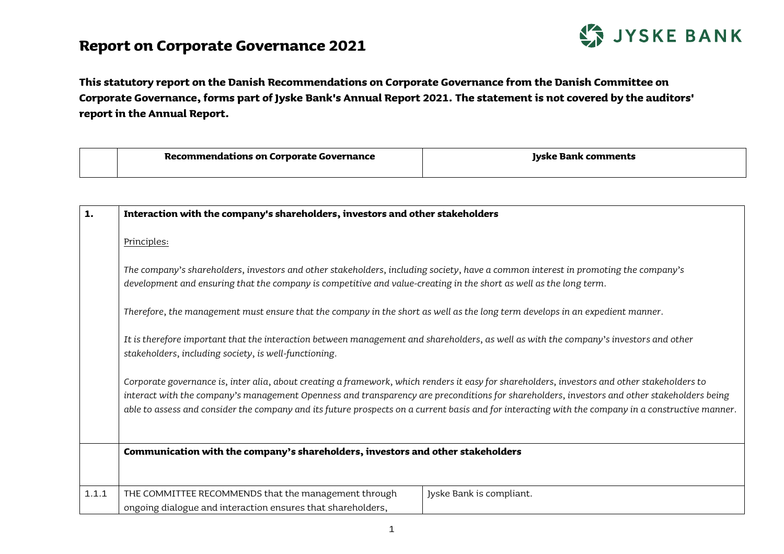## **Report on Corporate Governance 2021**



**This statutory report on the Danish Recommendations on Corporate Governance from the Danish Committee on Corporate Governance, forms part of Jyske Bank's Annual Report 2021. The statement is not covered by the auditors' report in the Annual Report.** 

| Recommendations on Corporate Governance | : comments<br><b>Tyske Bank</b> |
|-----------------------------------------|---------------------------------|
|                                         |                                 |

| 1.    | Interaction with the company's shareholders, investors and other stakeholders                                                                                                                                                                                                                                                                                                                                                                     |  |
|-------|---------------------------------------------------------------------------------------------------------------------------------------------------------------------------------------------------------------------------------------------------------------------------------------------------------------------------------------------------------------------------------------------------------------------------------------------------|--|
|       | Principles:                                                                                                                                                                                                                                                                                                                                                                                                                                       |  |
|       | The company's shareholders, investors and other stakeholders, including society, have a common interest in promoting the company's<br>development and ensuring that the company is competitive and value-creating in the short as well as the long term.                                                                                                                                                                                          |  |
|       | Therefore, the management must ensure that the company in the short as well as the long term develops in an expedient manner.                                                                                                                                                                                                                                                                                                                     |  |
|       | It is therefore important that the interaction between management and shareholders, as well as with the company's investors and other<br>stakeholders, including society, is well-functioning.                                                                                                                                                                                                                                                    |  |
|       | Corporate governance is, inter alia, about creating a framework, which renders it easy for shareholders, investors and other stakeholders to<br>interact with the company's management Openness and transparency are preconditions for shareholders, investors and other stakeholders being<br>able to assess and consider the company and its future prospects on a current basis and for interacting with the company in a constructive manner. |  |
|       | Communication with the company's shareholders, investors and other stakeholders                                                                                                                                                                                                                                                                                                                                                                   |  |
| 1.1.1 | THE COMMITTEE RECOMMENDS that the management through<br>Jyske Bank is compliant.<br>ongoing dialogue and interaction ensures that shareholders,                                                                                                                                                                                                                                                                                                   |  |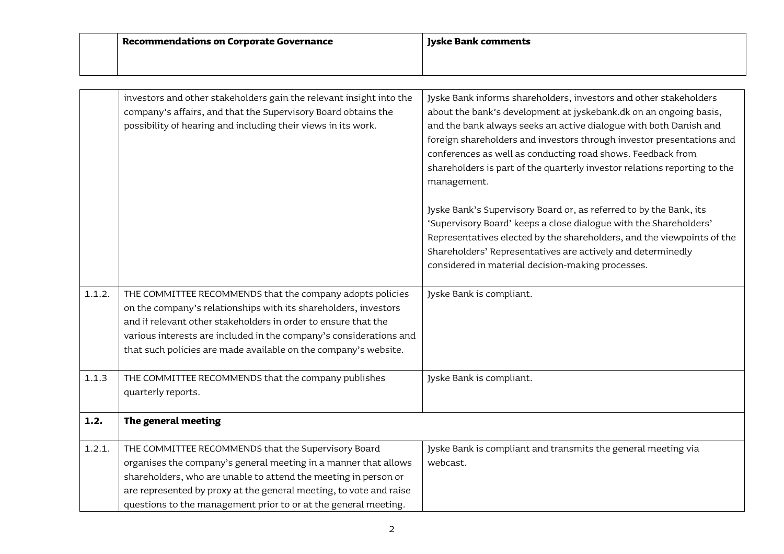|        | <b>Recommendations on Corporate Governance</b>                                                                                                                                                                                                                                                                                          | <b>Jyske Bank comments</b>                                                                                                                                                                                                                                                                                                                                                                                                                                                                                            |
|--------|-----------------------------------------------------------------------------------------------------------------------------------------------------------------------------------------------------------------------------------------------------------------------------------------------------------------------------------------|-----------------------------------------------------------------------------------------------------------------------------------------------------------------------------------------------------------------------------------------------------------------------------------------------------------------------------------------------------------------------------------------------------------------------------------------------------------------------------------------------------------------------|
|        |                                                                                                                                                                                                                                                                                                                                         |                                                                                                                                                                                                                                                                                                                                                                                                                                                                                                                       |
|        | investors and other stakeholders gain the relevant insight into the<br>company's affairs, and that the Supervisory Board obtains the<br>possibility of hearing and including their views in its work.                                                                                                                                   | Jyske Bank informs shareholders, investors and other stakeholders<br>about the bank's development at jyskebank.dk on an ongoing basis,<br>and the bank always seeks an active dialogue with both Danish and<br>foreign shareholders and investors through investor presentations and<br>conferences as well as conducting road shows. Feedback from<br>shareholders is part of the quarterly investor relations reporting to the<br>management.<br>Jyske Bank's Supervisory Board or, as referred to by the Bank, its |
|        |                                                                                                                                                                                                                                                                                                                                         | 'Supervisory Board' keeps a close dialogue with the Shareholders'<br>Representatives elected by the shareholders, and the viewpoints of the<br>Shareholders' Representatives are actively and determinedly<br>considered in material decision-making processes.                                                                                                                                                                                                                                                       |
| 1.1.2. | THE COMMITTEE RECOMMENDS that the company adopts policies<br>on the company's relationships with its shareholders, investors<br>and if relevant other stakeholders in order to ensure that the<br>various interests are included in the company's considerations and<br>that such policies are made available on the company's website. | Jyske Bank is compliant.                                                                                                                                                                                                                                                                                                                                                                                                                                                                                              |
| 1.1.3  | THE COMMITTEE RECOMMENDS that the company publishes<br>quarterly reports.                                                                                                                                                                                                                                                               | Jyske Bank is compliant.                                                                                                                                                                                                                                                                                                                                                                                                                                                                                              |
| 1.2.   | The general meeting                                                                                                                                                                                                                                                                                                                     |                                                                                                                                                                                                                                                                                                                                                                                                                                                                                                                       |
| 1.2.1. | THE COMMITTEE RECOMMENDS that the Supervisory Board<br>organises the company's general meeting in a manner that allows<br>shareholders, who are unable to attend the meeting in person or<br>are represented by proxy at the general meeting, to vote and raise<br>questions to the management prior to or at the general meeting.      | Jyske Bank is compliant and transmits the general meeting via<br>webcast.                                                                                                                                                                                                                                                                                                                                                                                                                                             |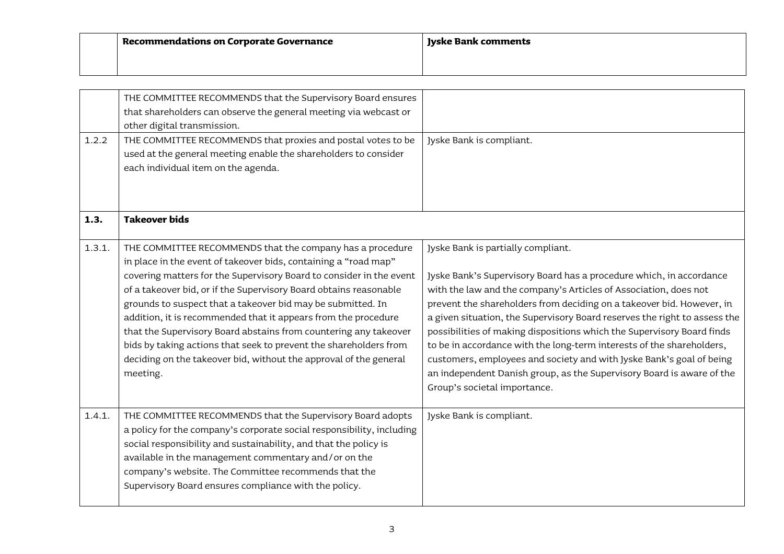| Recommendations on Corporate Governance | Jyske Bank comments |
|-----------------------------------------|---------------------|
|                                         |                     |

|        | THE COMMITTEE RECOMMENDS that the Supervisory Board ensures<br>that shareholders can observe the general meeting via webcast or<br>other digital transmission.                                                                                                                                                                                                                                                                                                                                                                                                                                                                      |                                                                                                                                                                                                                                                                                                                                                                                                                                                                                                                                                                                                                                                                         |
|--------|-------------------------------------------------------------------------------------------------------------------------------------------------------------------------------------------------------------------------------------------------------------------------------------------------------------------------------------------------------------------------------------------------------------------------------------------------------------------------------------------------------------------------------------------------------------------------------------------------------------------------------------|-------------------------------------------------------------------------------------------------------------------------------------------------------------------------------------------------------------------------------------------------------------------------------------------------------------------------------------------------------------------------------------------------------------------------------------------------------------------------------------------------------------------------------------------------------------------------------------------------------------------------------------------------------------------------|
| 1.2.2  | THE COMMITTEE RECOMMENDS that proxies and postal votes to be<br>used at the general meeting enable the shareholders to consider<br>each individual item on the agenda.                                                                                                                                                                                                                                                                                                                                                                                                                                                              | Jyske Bank is compliant.                                                                                                                                                                                                                                                                                                                                                                                                                                                                                                                                                                                                                                                |
| 1.3.   | <b>Takeover bids</b>                                                                                                                                                                                                                                                                                                                                                                                                                                                                                                                                                                                                                |                                                                                                                                                                                                                                                                                                                                                                                                                                                                                                                                                                                                                                                                         |
| 1.3.1. | THE COMMITTEE RECOMMENDS that the company has a procedure<br>in place in the event of takeover bids, containing a "road map"<br>covering matters for the Supervisory Board to consider in the event<br>of a takeover bid, or if the Supervisory Board obtains reasonable<br>grounds to suspect that a takeover bid may be submitted. In<br>addition, it is recommended that it appears from the procedure<br>that the Supervisory Board abstains from countering any takeover<br>bids by taking actions that seek to prevent the shareholders from<br>deciding on the takeover bid, without the approval of the general<br>meeting. | Jyske Bank is partially compliant.<br>Jyske Bank's Supervisory Board has a procedure which, in accordance<br>with the law and the company's Articles of Association, does not<br>prevent the shareholders from deciding on a takeover bid. However, in<br>a given situation, the Supervisory Board reserves the right to assess the<br>possibilities of making dispositions which the Supervisory Board finds<br>to be in accordance with the long-term interests of the shareholders,<br>customers, employees and society and with Jyske Bank's goal of being<br>an independent Danish group, as the Supervisory Board is aware of the<br>Group's societal importance. |
| 1.4.1. | THE COMMITTEE RECOMMENDS that the Supervisory Board adopts<br>a policy for the company's corporate social responsibility, including<br>social responsibility and sustainability, and that the policy is<br>available in the management commentary and/or on the<br>company's website. The Committee recommends that the<br>Supervisory Board ensures compliance with the policy.                                                                                                                                                                                                                                                    | Jyske Bank is compliant.                                                                                                                                                                                                                                                                                                                                                                                                                                                                                                                                                                                                                                                |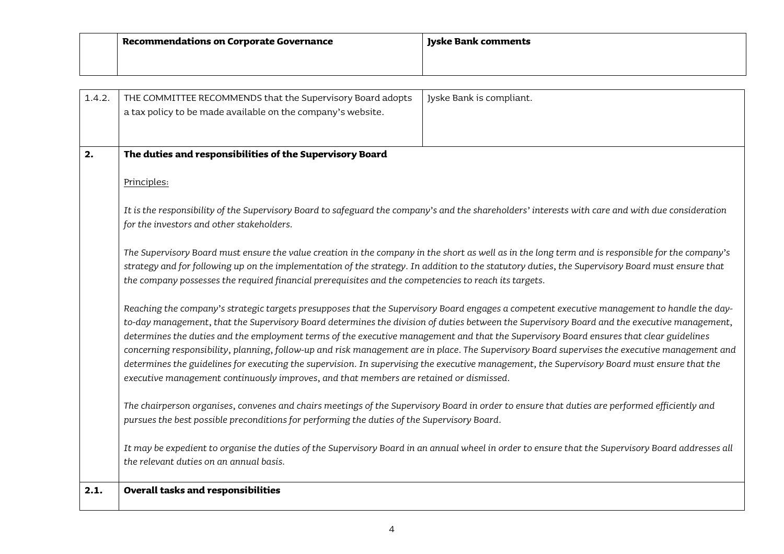| Recommendations on Corporate Governance | Jyske Bank comments |
|-----------------------------------------|---------------------|
|                                         |                     |

| 1.4.2.                                                                                                                                      | THE COMMITTEE RECOMMENDS that the Supervisory Board adopts                                                                                                                                                                                                                                     | Jyske Bank is compliant.                                                                                                                           |  |
|---------------------------------------------------------------------------------------------------------------------------------------------|------------------------------------------------------------------------------------------------------------------------------------------------------------------------------------------------------------------------------------------------------------------------------------------------|----------------------------------------------------------------------------------------------------------------------------------------------------|--|
|                                                                                                                                             | a tax policy to be made available on the company's website.                                                                                                                                                                                                                                    |                                                                                                                                                    |  |
|                                                                                                                                             |                                                                                                                                                                                                                                                                                                |                                                                                                                                                    |  |
| 2.                                                                                                                                          |                                                                                                                                                                                                                                                                                                |                                                                                                                                                    |  |
|                                                                                                                                             | The duties and responsibilities of the Supervisory Board                                                                                                                                                                                                                                       |                                                                                                                                                    |  |
|                                                                                                                                             | Principles:                                                                                                                                                                                                                                                                                    |                                                                                                                                                    |  |
|                                                                                                                                             |                                                                                                                                                                                                                                                                                                | It is the responsibility of the Supervisory Board to safeguard the company's and the shareholders' interests with care and with due consideration  |  |
|                                                                                                                                             | for the investors and other stakeholders.                                                                                                                                                                                                                                                      |                                                                                                                                                    |  |
|                                                                                                                                             |                                                                                                                                                                                                                                                                                                | The Supervisory Board must ensure the value creation in the company in the short as well as in the long term and is responsible for the company's  |  |
|                                                                                                                                             |                                                                                                                                                                                                                                                                                                | strategy and for following up on the implementation of the strategy. In addition to the statutory duties, the Supervisory Board must ensure that   |  |
|                                                                                                                                             | the company possesses the required financial prerequisites and the competencies to reach its targets.<br>Reaching the company's strategic targets presupposes that the Supervisory Board engages a competent executive management to handle the day-                                           |                                                                                                                                                    |  |
|                                                                                                                                             |                                                                                                                                                                                                                                                                                                |                                                                                                                                                    |  |
| to-day management, that the Supervisory Board determines the division of duties between the Supervisory Board and the executive management, |                                                                                                                                                                                                                                                                                                |                                                                                                                                                    |  |
|                                                                                                                                             | determines the duties and the employment terms of the executive management and that the Supervisory Board ensures that clear guidelines                                                                                                                                                        |                                                                                                                                                    |  |
|                                                                                                                                             | concerning responsibility, planning, follow-up and risk management are in place. The Supervisory Board supervises the executive management and<br>determines the guidelines for executing the supervision. In supervising the executive management, the Supervisory Board must ensure that the |                                                                                                                                                    |  |
|                                                                                                                                             | executive management continuously improves, and that members are retained or dismissed.                                                                                                                                                                                                        |                                                                                                                                                    |  |
|                                                                                                                                             |                                                                                                                                                                                                                                                                                                |                                                                                                                                                    |  |
|                                                                                                                                             | The chairperson organises, convenes and chairs meetings of the Supervisory Board in order to ensure that duties are performed efficiently and                                                                                                                                                  |                                                                                                                                                    |  |
|                                                                                                                                             | pursues the best possible preconditions for performing the duties of the Supervisory Board.                                                                                                                                                                                                    |                                                                                                                                                    |  |
|                                                                                                                                             |                                                                                                                                                                                                                                                                                                | It may be expedient to organise the duties of the Supervisory Board in an annual wheel in order to ensure that the Supervisory Board addresses all |  |
|                                                                                                                                             | the relevant duties on an annual basis.                                                                                                                                                                                                                                                        |                                                                                                                                                    |  |
| 2.1.                                                                                                                                        | <b>Overall tasks and responsibilities</b>                                                                                                                                                                                                                                                      |                                                                                                                                                    |  |
|                                                                                                                                             |                                                                                                                                                                                                                                                                                                |                                                                                                                                                    |  |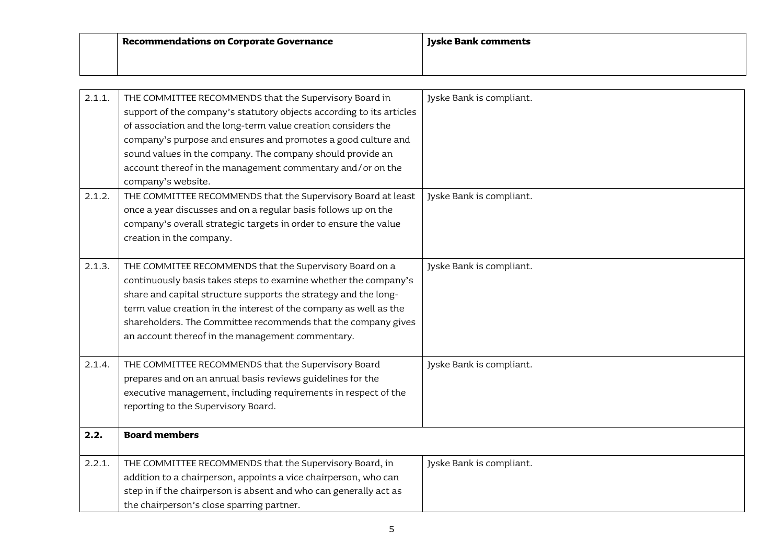| <b>Recommendations on Corporate Governance</b> | Jyske Bank comments |
|------------------------------------------------|---------------------|
|                                                |                     |

| 2.1.1. | THE COMMITTEE RECOMMENDS that the Supervisory Board in               | Jyske Bank is compliant. |
|--------|----------------------------------------------------------------------|--------------------------|
|        | support of the company's statutory objects according to its articles |                          |
|        | of association and the long-term value creation considers the        |                          |
|        | company's purpose and ensures and promotes a good culture and        |                          |
|        | sound values in the company. The company should provide an           |                          |
|        | account thereof in the management commentary and/or on the           |                          |
|        | company's website.                                                   |                          |
| 2.1.2. | THE COMMITTEE RECOMMENDS that the Supervisory Board at least         | Jyske Bank is compliant. |
|        | once a year discusses and on a regular basis follows up on the       |                          |
|        | company's overall strategic targets in order to ensure the value     |                          |
|        | creation in the company.                                             |                          |
|        |                                                                      |                          |
| 2.1.3. | THE COMMITEE RECOMMENDS that the Supervisory Board on a              | Jyske Bank is compliant. |
|        | continuously basis takes steps to examine whether the company's      |                          |
|        | share and capital structure supports the strategy and the long-      |                          |
|        | term value creation in the interest of the company as well as the    |                          |
|        | shareholders. The Committee recommends that the company gives        |                          |
|        | an account thereof in the management commentary.                     |                          |
|        |                                                                      |                          |
| 2.1.4. | THE COMMITTEE RECOMMENDS that the Supervisory Board                  | Jyske Bank is compliant. |
|        | prepares and on an annual basis reviews guidelines for the           |                          |
|        | executive management, including requirements in respect of the       |                          |
|        | reporting to the Supervisory Board.                                  |                          |
| 2.2.   | <b>Board members</b>                                                 |                          |
|        |                                                                      |                          |
| 2.2.1. | THE COMMITTEE RECOMMENDS that the Supervisory Board, in              | Jyske Bank is compliant. |
|        | addition to a chairperson, appoints a vice chairperson, who can      |                          |
|        | step in if the chairperson is absent and who can generally act as    |                          |
|        | the chairperson's close sparring partner.                            |                          |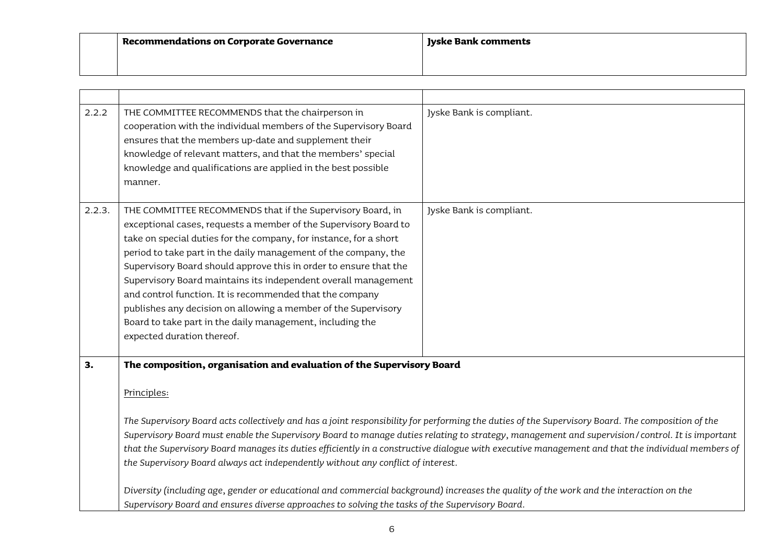| $\mid$ Recommendations on Corporate Governance | Jyske Bank comments |
|------------------------------------------------|---------------------|
|                                                |                     |

| 2.2.2  | THE COMMITTEE RECOMMENDS that the chairperson in<br>cooperation with the individual members of the Supervisory Board<br>ensures that the members up-date and supplement their<br>knowledge of relevant matters, and that the members' special<br>knowledge and qualifications are applied in the best possible<br>manner.                                                                                                                                                                                                                                                                                                                                                                                                                                                                                                                                                          | Jyske Bank is compliant. |
|--------|------------------------------------------------------------------------------------------------------------------------------------------------------------------------------------------------------------------------------------------------------------------------------------------------------------------------------------------------------------------------------------------------------------------------------------------------------------------------------------------------------------------------------------------------------------------------------------------------------------------------------------------------------------------------------------------------------------------------------------------------------------------------------------------------------------------------------------------------------------------------------------|--------------------------|
| 2.2.3. | THE COMMITTEE RECOMMENDS that if the Supervisory Board, in<br>exceptional cases, requests a member of the Supervisory Board to<br>take on special duties for the company, for instance, for a short<br>period to take part in the daily management of the company, the<br>Supervisory Board should approve this in order to ensure that the<br>Supervisory Board maintains its independent overall management<br>and control function. It is recommended that the company<br>publishes any decision on allowing a member of the Supervisory<br>Board to take part in the daily management, including the<br>expected duration thereof.                                                                                                                                                                                                                                             | Jyske Bank is compliant. |
| 3.     | The composition, organisation and evaluation of the Supervisory Board<br>Principles:<br>The Supervisory Board acts collectively and has a joint responsibility for performing the duties of the Supervisory Board. The composition of the<br>Supervisory Board must enable the Supervisory Board to manage duties relating to strategy, management and supervision/control. It is important<br>that the Supervisory Board manages its duties efficiently in a constructive dialogue with executive management and that the individual members of<br>the Supervisory Board always act independently without any conflict of interest.<br>Diversity (including age, gender or educational and commercial background) increases the quality of the work and the interaction on the<br>Supervisory Board and ensures diverse approaches to solving the tasks of the Supervisory Board. |                          |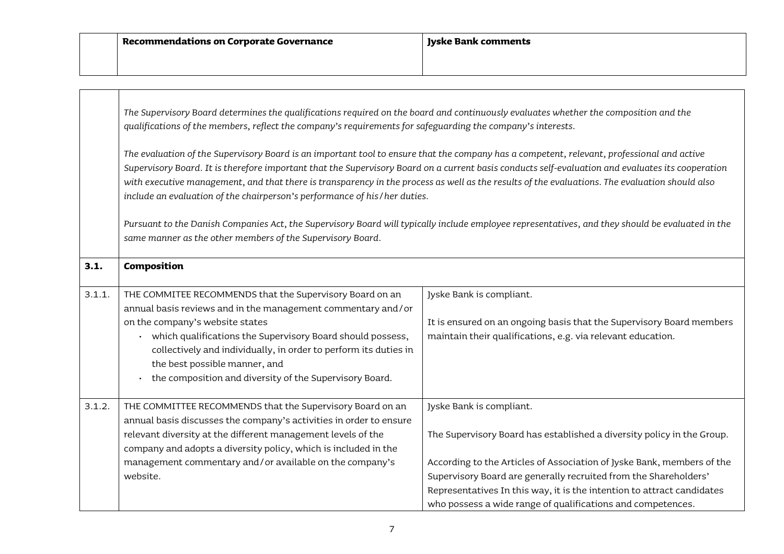|        | The Supervisory Board determines the qualifications required on the board and continuously evaluates whether the composition and the<br>qualifications of the members, reflect the company's requirements for safeguarding the company's interests.<br>The evaluation of the Supervisory Board is an important tool to ensure that the company has a competent, relevant, professional and active<br>Supervisory Board. It is therefore important that the Supervisory Board on a current basis conducts self-evaluation and evaluates its cooperation<br>with executive management, and that there is transparency in the process as well as the results of the evaluations. The evaluation should also<br>include an evaluation of the chairperson's performance of his/her duties. |                                                                                                                                                                                                                                                                                                                                                                                           |
|--------|---------------------------------------------------------------------------------------------------------------------------------------------------------------------------------------------------------------------------------------------------------------------------------------------------------------------------------------------------------------------------------------------------------------------------------------------------------------------------------------------------------------------------------------------------------------------------------------------------------------------------------------------------------------------------------------------------------------------------------------------------------------------------------------|-------------------------------------------------------------------------------------------------------------------------------------------------------------------------------------------------------------------------------------------------------------------------------------------------------------------------------------------------------------------------------------------|
|        |                                                                                                                                                                                                                                                                                                                                                                                                                                                                                                                                                                                                                                                                                                                                                                                       |                                                                                                                                                                                                                                                                                                                                                                                           |
|        | Pursuant to the Danish Companies Act, the Supervisory Board will typically include employee representatives, and they should be evaluated in the<br>same manner as the other members of the Supervisory Board.                                                                                                                                                                                                                                                                                                                                                                                                                                                                                                                                                                        |                                                                                                                                                                                                                                                                                                                                                                                           |
| 3.1.   | Composition                                                                                                                                                                                                                                                                                                                                                                                                                                                                                                                                                                                                                                                                                                                                                                           |                                                                                                                                                                                                                                                                                                                                                                                           |
| 3.1.1. | THE COMMITEE RECOMMENDS that the Supervisory Board on an<br>annual basis reviews and in the management commentary and/or<br>on the company's website states<br>• which qualifications the Supervisory Board should possess,<br>collectively and individually, in order to perform its duties in<br>the best possible manner, and<br>the composition and diversity of the Supervisory Board.<br>$\ddot{\phantom{0}}$                                                                                                                                                                                                                                                                                                                                                                   | Jyske Bank is compliant.<br>It is ensured on an ongoing basis that the Supervisory Board members<br>maintain their qualifications, e.g. via relevant education.                                                                                                                                                                                                                           |
| 3.1.2. | THE COMMITTEE RECOMMENDS that the Supervisory Board on an<br>annual basis discusses the company's activities in order to ensure<br>relevant diversity at the different management levels of the<br>company and adopts a diversity policy, which is included in the<br>management commentary and/or available on the company's<br>website.                                                                                                                                                                                                                                                                                                                                                                                                                                             | Jyske Bank is compliant.<br>The Supervisory Board has established a diversity policy in the Group.<br>According to the Articles of Association of Jyske Bank, members of the<br>Supervisory Board are generally recruited from the Shareholders'<br>Representatives In this way, it is the intention to attract candidates<br>who possess a wide range of qualifications and competences. |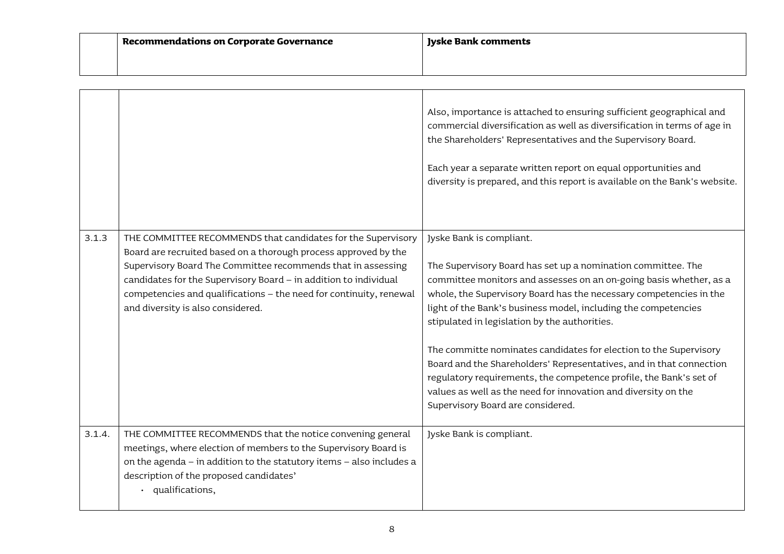| Recommendations on Corporate Governance | Ivske Bank comments |
|-----------------------------------------|---------------------|
|                                         |                     |

|        |                                                                                                                                                                                                                                                                                                                                                                                | Also, importance is attached to ensuring sufficient geographical and<br>commercial diversification as well as diversification in terms of age in<br>the Shareholders' Representatives and the Supervisory Board.<br>Each year a separate written report on equal opportunities and<br>diversity is prepared, and this report is available on the Bank's website.                                                                                                                                                                                                                                                                                                                 |
|--------|--------------------------------------------------------------------------------------------------------------------------------------------------------------------------------------------------------------------------------------------------------------------------------------------------------------------------------------------------------------------------------|----------------------------------------------------------------------------------------------------------------------------------------------------------------------------------------------------------------------------------------------------------------------------------------------------------------------------------------------------------------------------------------------------------------------------------------------------------------------------------------------------------------------------------------------------------------------------------------------------------------------------------------------------------------------------------|
| 3.1.3  | THE COMMITTEE RECOMMENDS that candidates for the Supervisory<br>Board are recruited based on a thorough process approved by the<br>Supervisory Board The Committee recommends that in assessing<br>candidates for the Supervisory Board - in addition to individual<br>competencies and qualifications - the need for continuity, renewal<br>and diversity is also considered. | Jyske Bank is compliant.<br>The Supervisory Board has set up a nomination committee. The<br>committee monitors and assesses on an on-going basis whether, as a<br>whole, the Supervisory Board has the necessary competencies in the<br>light of the Bank's business model, including the competencies<br>stipulated in legislation by the authorities.<br>The committe nominates candidates for election to the Supervisory<br>Board and the Shareholders' Representatives, and in that connection<br>regulatory requirements, the competence profile, the Bank's set of<br>values as well as the need for innovation and diversity on the<br>Supervisory Board are considered. |
| 3.1.4. | THE COMMITTEE RECOMMENDS that the notice convening general<br>meetings, where election of members to the Supervisory Board is<br>on the agenda - in addition to the statutory items - also includes a<br>description of the proposed candidates'<br>· qualifications,                                                                                                          | Jyske Bank is compliant.                                                                                                                                                                                                                                                                                                                                                                                                                                                                                                                                                                                                                                                         |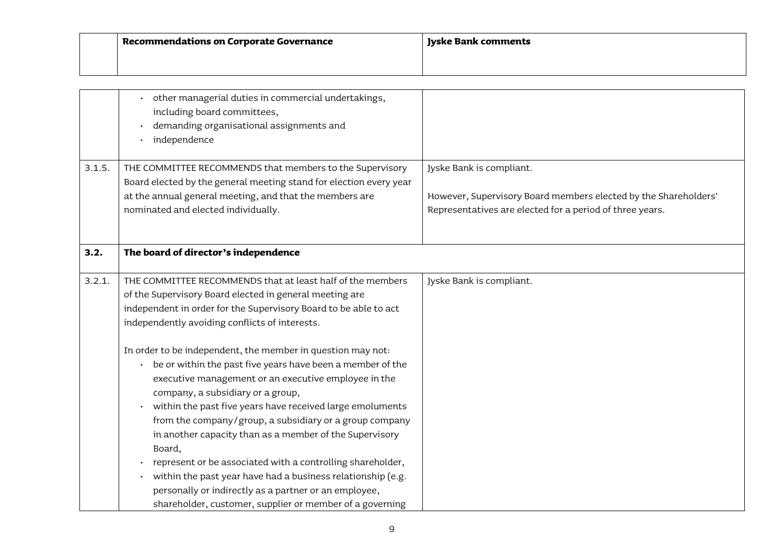| <b>Recommendations on Corporate Governance</b> | <b>Jyske Bank comments</b> |
|------------------------------------------------|----------------------------|
|                                                |                            |

|        | other managerial duties in commercial undertakings,<br>including board committees,<br>demanding organisational assignments and<br>$\bullet$<br>independence<br>$\bullet$                                                                                                                                                                                                                                                                                                                                                                                                                                                                                                                        |                                                                                                                                                         |
|--------|-------------------------------------------------------------------------------------------------------------------------------------------------------------------------------------------------------------------------------------------------------------------------------------------------------------------------------------------------------------------------------------------------------------------------------------------------------------------------------------------------------------------------------------------------------------------------------------------------------------------------------------------------------------------------------------------------|---------------------------------------------------------------------------------------------------------------------------------------------------------|
| 3.1.5. | THE COMMITTEE RECOMMENDS that members to the Supervisory<br>Board elected by the general meeting stand for election every year<br>at the annual general meeting, and that the members are<br>nominated and elected individually.                                                                                                                                                                                                                                                                                                                                                                                                                                                                | Jyske Bank is compliant.<br>However, Supervisory Board members elected by the Shareholders'<br>Representatives are elected for a period of three years. |
| 3.2.   | The board of director's independence                                                                                                                                                                                                                                                                                                                                                                                                                                                                                                                                                                                                                                                            |                                                                                                                                                         |
| 3.2.1. | THE COMMITTEE RECOMMENDS that at least half of the members<br>of the Supervisory Board elected in general meeting are<br>independent in order for the Supervisory Board to be able to act<br>independently avoiding conflicts of interests.                                                                                                                                                                                                                                                                                                                                                                                                                                                     | Jyske Bank is compliant.                                                                                                                                |
|        | In order to be independent, the member in question may not:<br>be or within the past five years have been a member of the<br>$\bullet$<br>executive management or an executive employee in the<br>company, a subsidiary or a group,<br>within the past five years have received large emoluments<br>from the company/group, a subsidiary or a group company<br>in another capacity than as a member of the Supervisory<br>Board,<br>represent or be associated with a controlling shareholder,<br>within the past year have had a business relationship (e.g.<br>$\bullet$<br>personally or indirectly as a partner or an employee,<br>shareholder, customer, supplier or member of a governing |                                                                                                                                                         |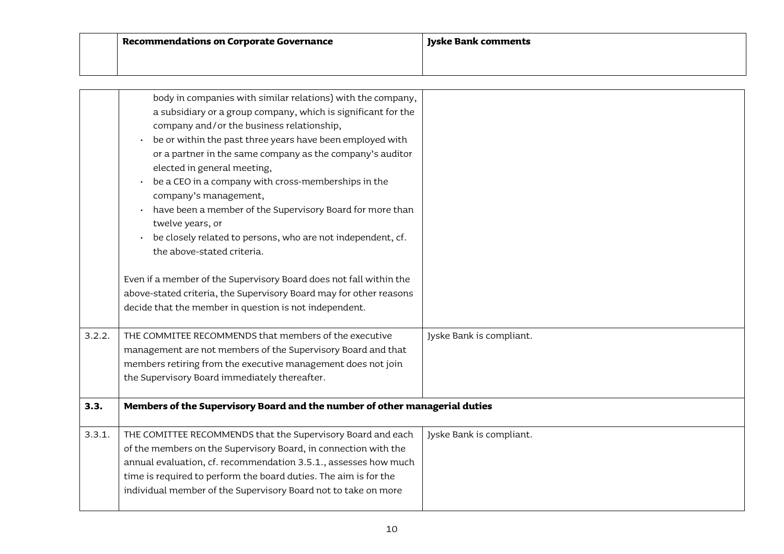| $\mid$ Recommendations on Corporate Governance | <b>Byske Bank comments</b> |
|------------------------------------------------|----------------------------|
|                                                |                            |

|        | body in companies with similar relations) with the company,<br>a subsidiary or a group company, which is significant for the<br>company and/or the business relationship,<br>be or within the past three years have been employed with<br>or a partner in the same company as the company's auditor<br>elected in general meeting,<br>be a CEO in a company with cross-memberships in the<br>company's management,<br>have been a member of the Supervisory Board for more than<br>twelve years, or<br>be closely related to persons, who are not independent, cf.<br>the above-stated criteria.<br>Even if a member of the Supervisory Board does not fall within the<br>above-stated criteria, the Supervisory Board may for other reasons |                          |
|--------|----------------------------------------------------------------------------------------------------------------------------------------------------------------------------------------------------------------------------------------------------------------------------------------------------------------------------------------------------------------------------------------------------------------------------------------------------------------------------------------------------------------------------------------------------------------------------------------------------------------------------------------------------------------------------------------------------------------------------------------------|--------------------------|
|        | decide that the member in question is not independent.                                                                                                                                                                                                                                                                                                                                                                                                                                                                                                                                                                                                                                                                                       |                          |
|        |                                                                                                                                                                                                                                                                                                                                                                                                                                                                                                                                                                                                                                                                                                                                              |                          |
| 3.2.2. | THE COMMITEE RECOMMENDS that members of the executive<br>management are not members of the Supervisory Board and that<br>members retiring from the executive management does not join<br>the Supervisory Board immediately thereafter.                                                                                                                                                                                                                                                                                                                                                                                                                                                                                                       | Jyske Bank is compliant. |
| 3.3.   | Members of the Supervisory Board and the number of other managerial duties                                                                                                                                                                                                                                                                                                                                                                                                                                                                                                                                                                                                                                                                   |                          |
| 3.3.1. | THE COMITTEE RECOMMENDS that the Supervisory Board and each<br>of the members on the Supervisory Board, in connection with the<br>annual evaluation, cf. recommendation 3.5.1., assesses how much<br>time is required to perform the board duties. The aim is for the<br>individual member of the Supervisory Board not to take on more                                                                                                                                                                                                                                                                                                                                                                                                      | Jyske Bank is compliant. |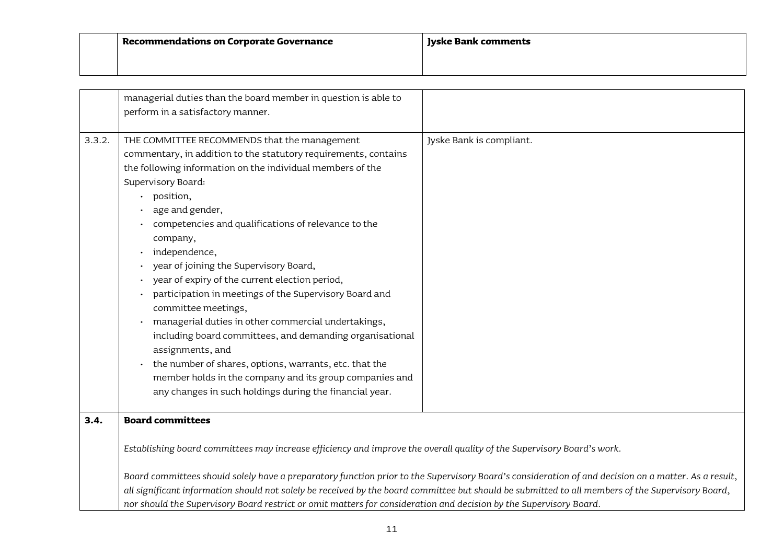| Recommendations on Corporate Governance | Jyske Bank comments |
|-----------------------------------------|---------------------|
|                                         |                     |

|        | managerial duties than the board member in question is able to<br>perform in a satisfactory manner.                                                                                                                                                                                                                                                                                                                                                                                                                                                                                                                                                                                                                                                                                                                                      |                          |
|--------|------------------------------------------------------------------------------------------------------------------------------------------------------------------------------------------------------------------------------------------------------------------------------------------------------------------------------------------------------------------------------------------------------------------------------------------------------------------------------------------------------------------------------------------------------------------------------------------------------------------------------------------------------------------------------------------------------------------------------------------------------------------------------------------------------------------------------------------|--------------------------|
|        |                                                                                                                                                                                                                                                                                                                                                                                                                                                                                                                                                                                                                                                                                                                                                                                                                                          |                          |
| 3.3.2. | THE COMMITTEE RECOMMENDS that the management<br>commentary, in addition to the statutory requirements, contains<br>the following information on the individual members of the<br>Supervisory Board:<br>position,<br>age and gender,<br>competencies and qualifications of relevance to the<br>company,<br>independence,<br>year of joining the Supervisory Board,<br>year of expiry of the current election period,<br>participation in meetings of the Supervisory Board and<br>committee meetings,<br>managerial duties in other commercial undertakings,<br>$\bullet$<br>including board committees, and demanding organisational<br>assignments, and<br>the number of shares, options, warrants, etc. that the<br>member holds in the company and its group companies and<br>any changes in such holdings during the financial year. | Jyske Bank is compliant. |
| 3.4.   | <b>Board committees</b>                                                                                                                                                                                                                                                                                                                                                                                                                                                                                                                                                                                                                                                                                                                                                                                                                  |                          |
|        | Establishing board committees may increase efficiency and improve the overall quality of the Supervisory Board's work.<br>Board committees should solely have a preparatory function prior to the Supervisory Board's consideration of and decision on a matter. As a result,<br>all significant information should not solely be received by the board committee but should be submitted to all members of the Supervisory Board,                                                                                                                                                                                                                                                                                                                                                                                                       |                          |
|        | nor should the Supervisory Board restrict or omit matters for consideration and decision by the Supervisory Board.                                                                                                                                                                                                                                                                                                                                                                                                                                                                                                                                                                                                                                                                                                                       |                          |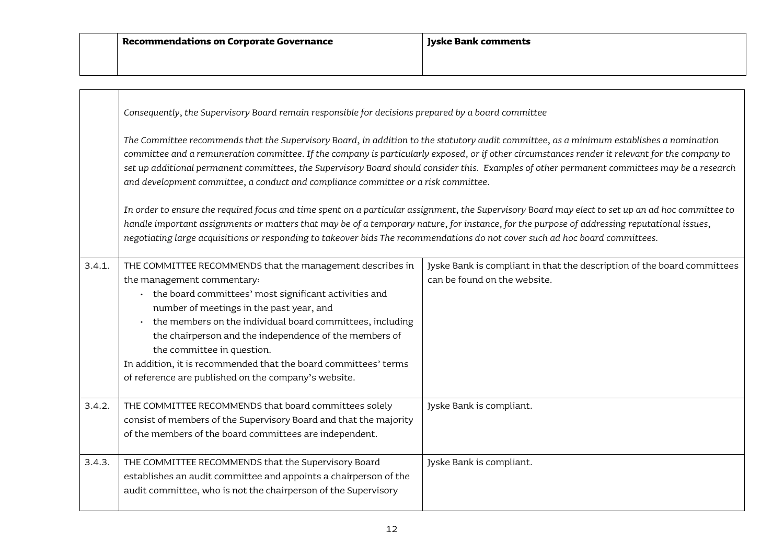|        | Consequently, the Supervisory Board remain responsible for decisions prepared by a board committee                                                                                                                                                                                                                                                                                                                                                                                                                                |                                                                                                                                                   |
|--------|-----------------------------------------------------------------------------------------------------------------------------------------------------------------------------------------------------------------------------------------------------------------------------------------------------------------------------------------------------------------------------------------------------------------------------------------------------------------------------------------------------------------------------------|---------------------------------------------------------------------------------------------------------------------------------------------------|
|        | The Committee recommends that the Supervisory Board, in addition to the statutory audit committee, as a minimum establishes a nomination<br>committee and a remuneration committee. If the company is particularly exposed, or if other circumstances render it relevant for the company to<br>set up additional permanent committees, the Supervisory Board should consider this. Examples of other permanent committees may be a research<br>and development committee, a conduct and compliance committee or a risk committee. |                                                                                                                                                   |
|        | handle important assignments or matters that may be of a temporary nature, for instance, for the purpose of addressing reputational issues,<br>negotiating large acquisitions or responding to takeover bids The recommendations do not cover such ad hoc board committees.                                                                                                                                                                                                                                                       | In order to ensure the required focus and time spent on a particular assignment, the Supervisory Board may elect to set up an ad hoc committee to |
| 3.4.1. | THE COMMITTEE RECOMMENDS that the management describes in<br>the management commentary:<br>• the board committees' most significant activities and<br>number of meetings in the past year, and<br>the members on the individual board committees, including<br>$\bullet$<br>the chairperson and the independence of the members of<br>the committee in question.<br>In addition, it is recommended that the board committees' terms<br>of reference are published on the company's website.                                       | Jyske Bank is compliant in that the description of the board committees<br>can be found on the website.                                           |
| 3.4.2. | THE COMMITTEE RECOMMENDS that board committees solely<br>consist of members of the Supervisory Board and that the majority<br>of the members of the board committees are independent.                                                                                                                                                                                                                                                                                                                                             | Jyske Bank is compliant.                                                                                                                          |
| 3.4.3. | THE COMMITTEE RECOMMENDS that the Supervisory Board<br>establishes an audit committee and appoints a chairperson of the<br>audit committee, who is not the chairperson of the Supervisory                                                                                                                                                                                                                                                                                                                                         | Jyske Bank is compliant.                                                                                                                          |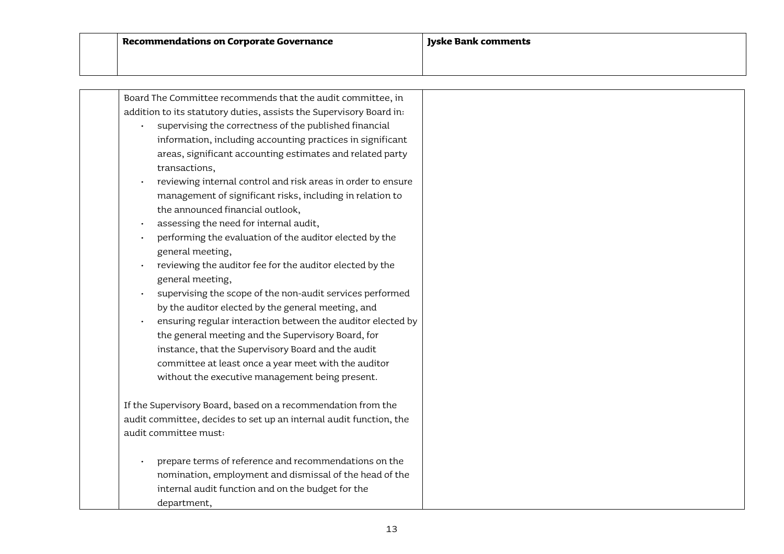| Board The Committee recommends that the audit committee, in                                              |
|----------------------------------------------------------------------------------------------------------|
| addition to its statutory duties, assists the Supervisory Board in:                                      |
| supervising the correctness of the published financial                                                   |
| information, including accounting practices in significant                                               |
| areas, significant accounting estimates and related party                                                |
| transactions,                                                                                            |
| reviewing internal control and risk areas in order to ensure                                             |
| management of significant risks, including in relation to                                                |
| the announced financial outlook,                                                                         |
| assessing the need for internal audit,                                                                   |
| performing the evaluation of the auditor elected by the                                                  |
| general meeting,                                                                                         |
| reviewing the auditor fee for the auditor elected by the                                                 |
| general meeting,                                                                                         |
| supervising the scope of the non-audit services performed                                                |
| by the auditor elected by the general meeting, and                                                       |
| ensuring regular interaction between the auditor elected by                                              |
| the general meeting and the Supervisory Board, for<br>instance, that the Supervisory Board and the audit |
| committee at least once a year meet with the auditor                                                     |
| without the executive management being present.                                                          |
|                                                                                                          |
| If the Supervisory Board, based on a recommendation from the                                             |
| audit committee, decides to set up an internal audit function, the                                       |
| audit committee must:                                                                                    |
|                                                                                                          |
| prepare terms of reference and recommendations on the                                                    |
| nomination, employment and dismissal of the head of the                                                  |
| internal audit function and on the budget for the                                                        |
| department,                                                                                              |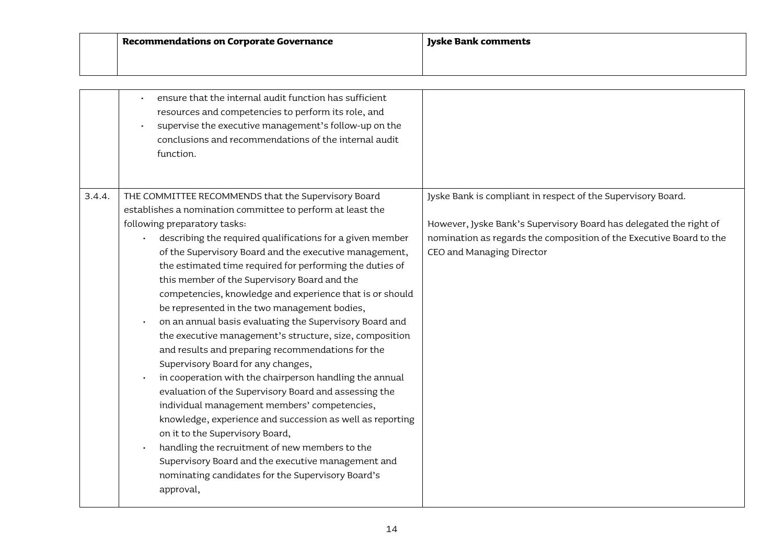|        | ensure that the internal audit function has sufficient<br>resources and competencies to perform its role, and<br>supervise the executive management's follow-up on the<br>conclusions and recommendations of the internal audit<br>function.                                                                                                                                                                                                                                                                                                                                                                                                                                                                                                                                                                                                                                                                                                                                                                                                                                                                                                                    |                                                                                                                                                                                                                                        |
|--------|-----------------------------------------------------------------------------------------------------------------------------------------------------------------------------------------------------------------------------------------------------------------------------------------------------------------------------------------------------------------------------------------------------------------------------------------------------------------------------------------------------------------------------------------------------------------------------------------------------------------------------------------------------------------------------------------------------------------------------------------------------------------------------------------------------------------------------------------------------------------------------------------------------------------------------------------------------------------------------------------------------------------------------------------------------------------------------------------------------------------------------------------------------------------|----------------------------------------------------------------------------------------------------------------------------------------------------------------------------------------------------------------------------------------|
| 3.4.4. | THE COMMITTEE RECOMMENDS that the Supervisory Board<br>establishes a nomination committee to perform at least the<br>following preparatory tasks:<br>describing the required qualifications for a given member<br>of the Supervisory Board and the executive management,<br>the estimated time required for performing the duties of<br>this member of the Supervisory Board and the<br>competencies, knowledge and experience that is or should<br>be represented in the two management bodies,<br>on an annual basis evaluating the Supervisory Board and<br>the executive management's structure, size, composition<br>and results and preparing recommendations for the<br>Supervisory Board for any changes,<br>in cooperation with the chairperson handling the annual<br>evaluation of the Supervisory Board and assessing the<br>individual management members' competencies,<br>knowledge, experience and succession as well as reporting<br>on it to the Supervisory Board,<br>handling the recruitment of new members to the<br>Supervisory Board and the executive management and<br>nominating candidates for the Supervisory Board's<br>approval, | Jyske Bank is compliant in respect of the Supervisory Board.<br>However, Jyske Bank's Supervisory Board has delegated the right of<br>nomination as regards the composition of the Executive Board to the<br>CEO and Managing Director |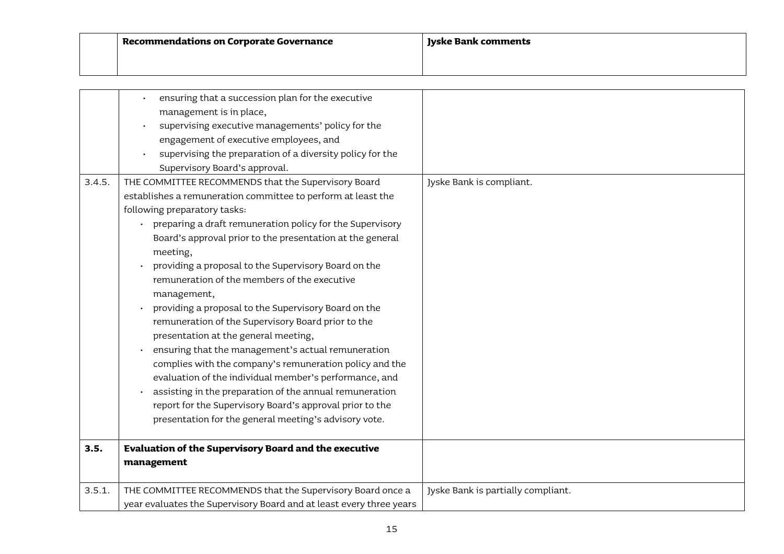| Recommendations on Corporate Governance | Jyske Bank comments |
|-----------------------------------------|---------------------|
|                                         |                     |

|        | ensuring that a succession plan for the executive                   |                                    |
|--------|---------------------------------------------------------------------|------------------------------------|
|        | management is in place,                                             |                                    |
|        | supervising executive managements' policy for the                   |                                    |
|        | engagement of executive employees, and                              |                                    |
|        | supervising the preparation of a diversity policy for the           |                                    |
|        | Supervisory Board's approval.                                       |                                    |
| 3.4.5. | THE COMMITTEE RECOMMENDS that the Supervisory Board                 | Jyske Bank is compliant.           |
|        | establishes a remuneration committee to perform at least the        |                                    |
|        | following preparatory tasks:                                        |                                    |
|        | preparing a draft remuneration policy for the Supervisory           |                                    |
|        | Board's approval prior to the presentation at the general           |                                    |
|        | meeting,                                                            |                                    |
|        | providing a proposal to the Supervisory Board on the                |                                    |
|        | remuneration of the members of the executive                        |                                    |
|        | management,                                                         |                                    |
|        | providing a proposal to the Supervisory Board on the                |                                    |
|        | remuneration of the Supervisory Board prior to the                  |                                    |
|        | presentation at the general meeting,                                |                                    |
|        | ensuring that the management's actual remuneration                  |                                    |
|        | complies with the company's remuneration policy and the             |                                    |
|        | evaluation of the individual member's performance, and              |                                    |
|        | assisting in the preparation of the annual remuneration             |                                    |
|        | report for the Supervisory Board's approval prior to the            |                                    |
|        | presentation for the general meeting's advisory vote.               |                                    |
|        |                                                                     |                                    |
| 3.5.   | <b>Evaluation of the Supervisory Board and the executive</b>        |                                    |
|        | management                                                          |                                    |
|        |                                                                     |                                    |
| 3.5.1. | THE COMMITTEE RECOMMENDS that the Supervisory Board once a          | Jyske Bank is partially compliant. |
|        | year evaluates the Supervisory Board and at least every three years |                                    |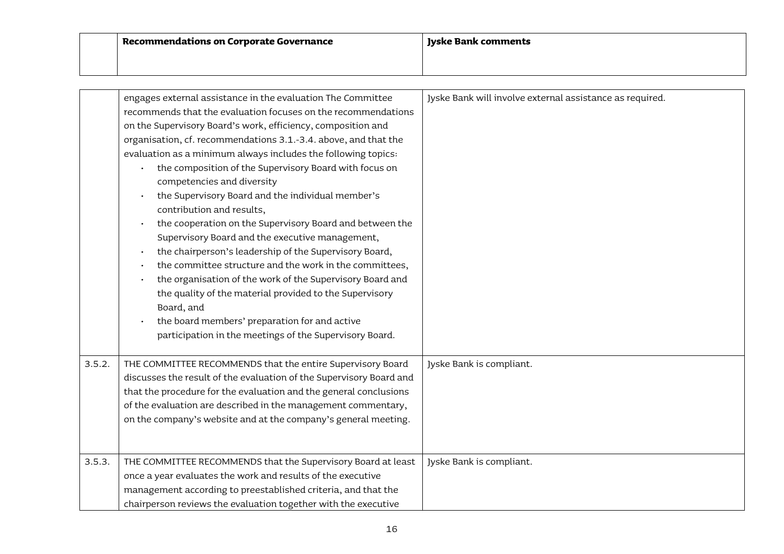|        | engages external assistance in the evaluation The Committee         | Jyske Bank will involve external assistance as required. |
|--------|---------------------------------------------------------------------|----------------------------------------------------------|
|        | recommends that the evaluation focuses on the recommendations       |                                                          |
|        | on the Supervisory Board's work, efficiency, composition and        |                                                          |
|        | organisation, cf. recommendations 3.1.-3.4. above, and that the     |                                                          |
|        | evaluation as a minimum always includes the following topics:       |                                                          |
|        | the composition of the Supervisory Board with focus on              |                                                          |
|        | competencies and diversity                                          |                                                          |
|        | the Supervisory Board and the individual member's                   |                                                          |
|        | contribution and results,                                           |                                                          |
|        | the cooperation on the Supervisory Board and between the            |                                                          |
|        | Supervisory Board and the executive management,                     |                                                          |
|        | the chairperson's leadership of the Supervisory Board,              |                                                          |
|        | the committee structure and the work in the committees,             |                                                          |
|        | the organisation of the work of the Supervisory Board and           |                                                          |
|        | the quality of the material provided to the Supervisory             |                                                          |
|        | Board, and                                                          |                                                          |
|        | the board members' preparation for and active                       |                                                          |
|        | participation in the meetings of the Supervisory Board.             |                                                          |
|        |                                                                     |                                                          |
| 3.5.2. | THE COMMITTEE RECOMMENDS that the entire Supervisory Board          | Jyske Bank is compliant.                                 |
|        | discusses the result of the evaluation of the Supervisory Board and |                                                          |
|        | that the procedure for the evaluation and the general conclusions   |                                                          |
|        | of the evaluation are described in the management commentary,       |                                                          |
|        | on the company's website and at the company's general meeting.      |                                                          |
|        |                                                                     |                                                          |
| 3.5.3. | THE COMMITTEE RECOMMENDS that the Supervisory Board at least        | Jyske Bank is compliant.                                 |
|        | once a year evaluates the work and results of the executive         |                                                          |
|        | management according to preestablished criteria, and that the       |                                                          |
|        | chairperson reviews the evaluation together with the executive      |                                                          |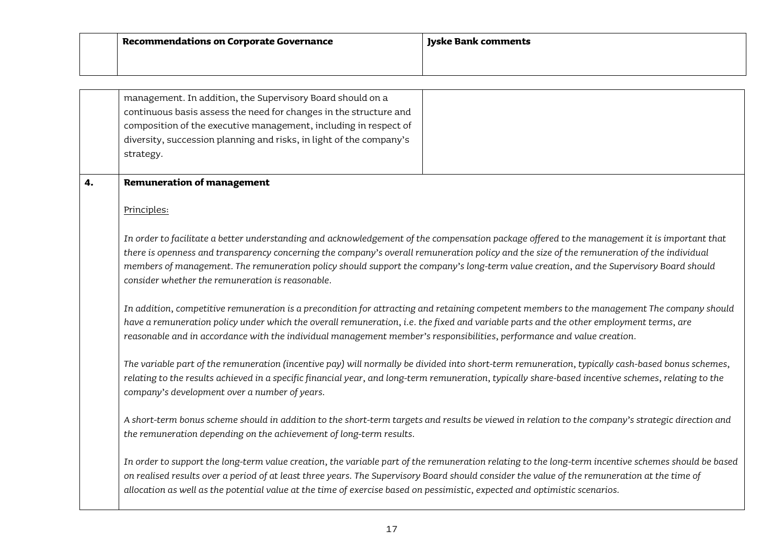| Recommendations on Corporate Governance | Jyske Bank comments |
|-----------------------------------------|---------------------|
|                                         |                     |

|    | management. In addition, the Supervisory Board should on a<br>continuous basis assess the need for changes in the structure and                                                                                                                                                                                                                                                                                                                                                          |  |
|----|------------------------------------------------------------------------------------------------------------------------------------------------------------------------------------------------------------------------------------------------------------------------------------------------------------------------------------------------------------------------------------------------------------------------------------------------------------------------------------------|--|
|    | composition of the executive management, including in respect of                                                                                                                                                                                                                                                                                                                                                                                                                         |  |
|    | diversity, succession planning and risks, in light of the company's                                                                                                                                                                                                                                                                                                                                                                                                                      |  |
|    | strategy.                                                                                                                                                                                                                                                                                                                                                                                                                                                                                |  |
|    |                                                                                                                                                                                                                                                                                                                                                                                                                                                                                          |  |
| 4. | <b>Remuneration of management</b>                                                                                                                                                                                                                                                                                                                                                                                                                                                        |  |
|    | Principles:                                                                                                                                                                                                                                                                                                                                                                                                                                                                              |  |
|    | In order to facilitate a better understanding and acknowledgement of the compensation package offered to the management it is important that<br>there is openness and transparency concerning the company's overall remuneration policy and the size of the remuneration of the individual<br>members of management. The remuneration policy should support the company's long-term value creation, and the Supervisory Board should<br>consider whether the remuneration is reasonable. |  |
|    | In addition, competitive remuneration is a precondition for attracting and retaining competent members to the management The company should<br>have a remuneration policy under which the overall remuneration, i.e. the fixed and variable parts and the other employment terms, are<br>reasonable and in accordance with the individual management member's responsibilities, performance and value creation.                                                                          |  |
|    | The variable part of the remuneration (incentive pay) will normally be divided into short-term remuneration, typically cash-based bonus schemes,<br>relating to the results achieved in a specific financial year, and long-term remuneration, typically share-based incentive schemes, relating to the<br>company's development over a number of years.                                                                                                                                 |  |
|    | A short-term bonus scheme should in addition to the short-term targets and results be viewed in relation to the company's strategic direction and<br>the remuneration depending on the achievement of long-term results.                                                                                                                                                                                                                                                                 |  |
|    | In order to support the long-term value creation, the variable part of the remuneration relating to the long-term incentive schemes should be based<br>on realised results over a period of at least three years. The Supervisory Board should consider the value of the remuneration at the time of<br>allocation as well as the potential value at the time of exercise based on pessimistic, expected and optimistic scenarios.                                                       |  |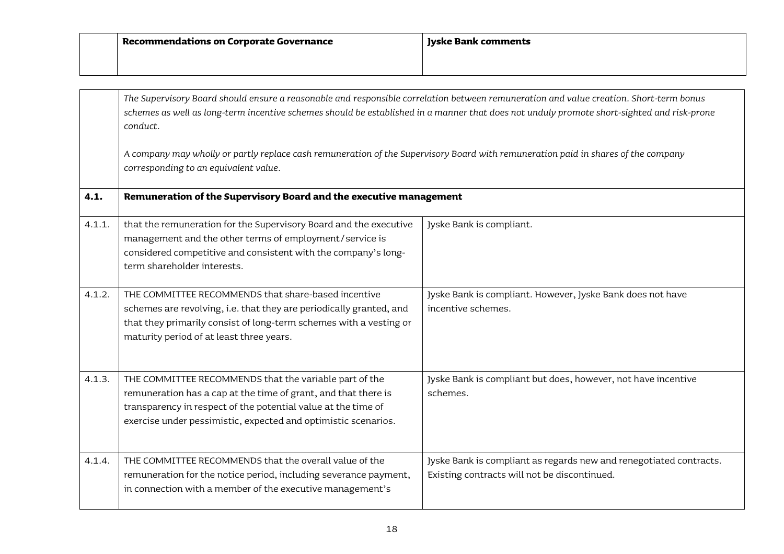|                                                                                                                                                                            | The Supervisory Board should ensure a reasonable and responsible correlation between remuneration and value creation. Short-term bonus<br>schemes as well as long-term incentive schemes should be established in a manner that does not unduly promote short-sighted and risk-prone<br>conduct. |                                                                                                                    |
|----------------------------------------------------------------------------------------------------------------------------------------------------------------------------|--------------------------------------------------------------------------------------------------------------------------------------------------------------------------------------------------------------------------------------------------------------------------------------------------|--------------------------------------------------------------------------------------------------------------------|
| A company may wholly or partly replace cash remuneration of the Supervisory Board with remuneration paid in shares of the company<br>corresponding to an equivalent value. |                                                                                                                                                                                                                                                                                                  |                                                                                                                    |
| 4.1.                                                                                                                                                                       | Remuneration of the Supervisory Board and the executive management                                                                                                                                                                                                                               |                                                                                                                    |
| 4.1.1.                                                                                                                                                                     | that the remuneration for the Supervisory Board and the executive<br>management and the other terms of employment/service is<br>considered competitive and consistent with the company's long-<br>term shareholder interests.                                                                    | Jyske Bank is compliant.                                                                                           |
| 4.1.2.                                                                                                                                                                     | THE COMMITTEE RECOMMENDS that share-based incentive<br>schemes are revolving, i.e. that they are periodically granted, and<br>that they primarily consist of long-term schemes with a vesting or<br>maturity period of at least three years.                                                     | Jyske Bank is compliant. However, Jyske Bank does not have<br>incentive schemes.                                   |
| 4.1.3.                                                                                                                                                                     | THE COMMITTEE RECOMMENDS that the variable part of the<br>remuneration has a cap at the time of grant, and that there is<br>transparency in respect of the potential value at the time of<br>exercise under pessimistic, expected and optimistic scenarios.                                      | Jyske Bank is compliant but does, however, not have incentive<br>schemes.                                          |
| 4.1.4.                                                                                                                                                                     | THE COMMITTEE RECOMMENDS that the overall value of the<br>remuneration for the notice period, including severance payment,<br>in connection with a member of the executive management's                                                                                                          | Jyske Bank is compliant as regards new and renegotiated contracts.<br>Existing contracts will not be discontinued. |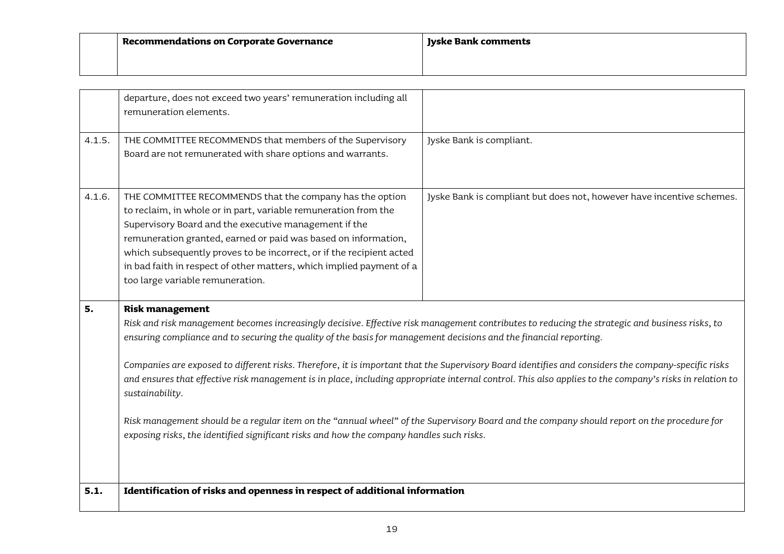| $\mathop{!}\nolimits$ Recommendations on Corporate Governance | Jyske Bank comments |
|---------------------------------------------------------------|---------------------|
|                                                               |                     |

|        | departure, does not exceed two years' remuneration including all<br>remuneration elements.                                                                                                                                                                                                                                                                                                                                                                                                                                                                                                                                                                                                                                                                                                                                                                                    |                                                                       |
|--------|-------------------------------------------------------------------------------------------------------------------------------------------------------------------------------------------------------------------------------------------------------------------------------------------------------------------------------------------------------------------------------------------------------------------------------------------------------------------------------------------------------------------------------------------------------------------------------------------------------------------------------------------------------------------------------------------------------------------------------------------------------------------------------------------------------------------------------------------------------------------------------|-----------------------------------------------------------------------|
| 4.1.5. | THE COMMITTEE RECOMMENDS that members of the Supervisory<br>Board are not remunerated with share options and warrants.                                                                                                                                                                                                                                                                                                                                                                                                                                                                                                                                                                                                                                                                                                                                                        | Jyske Bank is compliant.                                              |
| 4.1.6. | THE COMMITTEE RECOMMENDS that the company has the option<br>to reclaim, in whole or in part, variable remuneration from the<br>Supervisory Board and the executive management if the<br>remuneration granted, earned or paid was based on information,<br>which subsequently proves to be incorrect, or if the recipient acted<br>in bad faith in respect of other matters, which implied payment of a<br>too large variable remuneration.                                                                                                                                                                                                                                                                                                                                                                                                                                    | Jyske Bank is compliant but does not, however have incentive schemes. |
| 5.     | <b>Risk management</b><br>Risk and risk management becomes increasingly decisive. Effective risk management contributes to reducing the strategic and business risks, to<br>ensuring compliance and to securing the quality of the basis for management decisions and the financial reporting.<br>Companies are exposed to different risks. Therefore, it is important that the Supervisory Board identifies and considers the company-specific risks<br>and ensures that effective risk management is in place, including appropriate internal control. This also applies to the company's risks in relation to<br>sustainability.<br>Risk management should be a regular item on the "annual wheel" of the Supervisory Board and the company should report on the procedure for<br>exposing risks, the identified significant risks and how the company handles such risks. |                                                                       |
| 5.1.   | Identification of risks and openness in respect of additional information                                                                                                                                                                                                                                                                                                                                                                                                                                                                                                                                                                                                                                                                                                                                                                                                     |                                                                       |